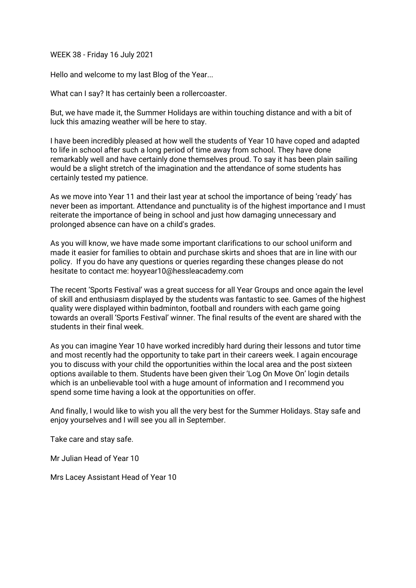WEEK 38 - Friday 16 July 2021

Hello and welcome to my last Blog of the Year...

What can I say? It has certainly been a rollercoaster.

But, we have made it, the Summer Holidays are within touching distance and with a bit of luck this amazing weather will be here to stay.

I have been incredibly pleased at how well the students of Year 10 have coped and adapted to life in school after such a long period of time away from school. They have done remarkably well and have certainly done themselves proud. To say it has been plain sailing would be a slight stretch of the imagination and the attendance of some students has certainly tested my patience.

As we move into Year 11 and their last year at school the importance of being 'ready' has never been as important. Attendance and punctuality is of the highest importance and I must reiterate the importance of being in school and just how damaging unnecessary and prolonged absence can have on a child's grades.

As you will know, we have made some important clarifications to our school uniform and made it easier for families to obtain and purchase skirts and shoes that are in line with our policy. If you do have any questions or queries regarding these changes please do not hesitate to contact me: hoyyear10@hessleacademy.com

The recent 'Sports Festival' was a great success for all Year Groups and once again the level of skill and enthusiasm displayed by the students was fantastic to see. Games of the highest quality were displayed within badminton, football and rounders with each game going towards an overall 'Sports Festival' winner. The final results of the event are shared with the students in their final week.

As you can imagine Year 10 have worked incredibly hard during their lessons and tutor time and most recently had the opportunity to take part in their careers week. I again encourage you to discuss with your child the opportunities within the local area and the post sixteen options available to them. Students have been given their 'Log On Move On' login details which is an unbelievable tool with a huge amount of information and I recommend you spend some time having a look at the opportunities on offer.

And finally, I would like to wish you all the very best for the Summer Holidays. Stay safe and enjoy yourselves and I will see you all in September.

Take care and stay safe.

Mr Julian Head of Year 10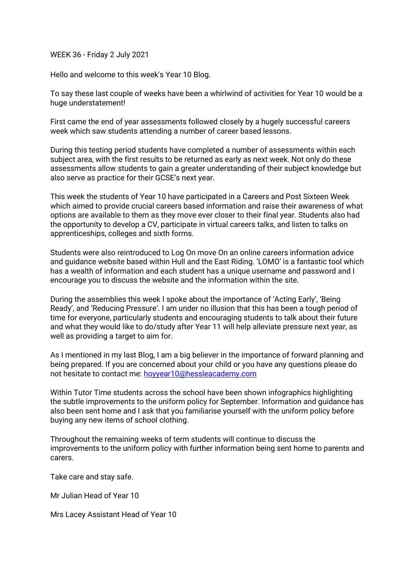WEEK 36 - Friday 2 July 2021

Hello and welcome to this week's Year 10 Blog.

To say these last couple of weeks have been a whirlwind of activities for Year 10 would be a huge understatement!

First came the end of year assessments followed closely by a hugely successful careers week which saw students attending a number of career based lessons.

During this testing period students have completed a number of assessments within each subject area, with the first results to be returned as early as next week. Not only do these assessments allow students to gain a greater understanding of their subject knowledge but also serve as practice for their GCSE's next year.

This week the students of Year 10 have participated in a Careers and Post Sixteen Week which aimed to provide crucial careers based information and raise their awareness of what options are available to them as they move ever closer to their final year. Students also had the opportunity to develop a CV, participate in virtual careers talks, and listen to talks on apprenticeships, colleges and sixth forms.

Students were also reintroduced to Log On move On an online careers information advice and guidance website based within Hull and the East Riding. 'LOMO' is a fantastic tool which has a wealth of information and each student has a unique username and password and I encourage you to discuss the website and the information within the site.

During the assemblies this week I spoke about the importance of 'Acting Early', 'Being Ready', and 'Reducing Pressure'. I am under no illusion that this has been a tough period of time for everyone, particularly students and encouraging students to talk about their future and what they would like to do/study after Year 11 will help alleviate pressure next year, as well as providing a target to aim for.

As I mentioned in my last Blog, I am a big believer in the importance of forward planning and being prepared. If you are concerned about your child or you have any questions please do not hesitate to contact me: [hoyyear10@hessleacademy.com](mailto:hoyy10@hessleacademy.com)

Within Tutor Time students across the school have been shown infographics highlighting the subtle improvements to the uniform policy for September. Information and guidance has also been sent home and I ask that you familiarise yourself with the uniform policy before buying any new items of school clothing.

Throughout the remaining weeks of term students will continue to discuss the improvements to the uniform policy with further information being sent home to parents and carers.

Take care and stay safe.

Mr Julian Head of Year 10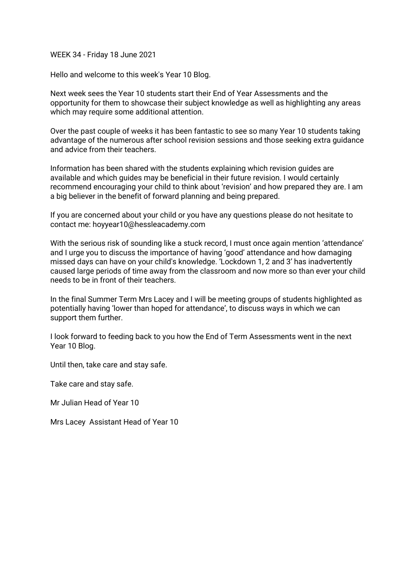WEEK 34 - Friday 18 June 2021

Hello and welcome to this week's Year 10 Blog.

Next week sees the Year 10 students start their End of Year Assessments and the opportunity for them to showcase their subject knowledge as well as highlighting any areas which may require some additional attention.

Over the past couple of weeks it has been fantastic to see so many Year 10 students taking advantage of the numerous after school revision sessions and those seeking extra guidance and advice from their teachers.

Information has been shared with the students explaining which revision guides are available and which guides may be beneficial in their future revision. I would certainly recommend encouraging your child to think about 'revision' and how prepared they are. I am a big believer in the benefit of forward planning and being prepared.

If you are concerned about your child or you have any questions please do not hesitate to contact me: hoyyear10@hessleacademy.com

With the serious risk of sounding like a stuck record, I must once again mention 'attendance' and I urge you to discuss the importance of having 'good' attendance and how damaging missed days can have on your child's knowledge. 'Lockdown 1, 2 and 3' has inadvertently caused large periods of time away from the classroom and now more so than ever your child needs to be in front of their teachers.

In the final Summer Term Mrs Lacey and I will be meeting groups of students highlighted as potentially having 'lower than hoped for attendance', to discuss ways in which we can support them further.

I look forward to feeding back to you how the End of Term Assessments went in the next Year 10 Blog.

Until then, take care and stay safe.

Take care and stay safe.

Mr Julian Head of Year 10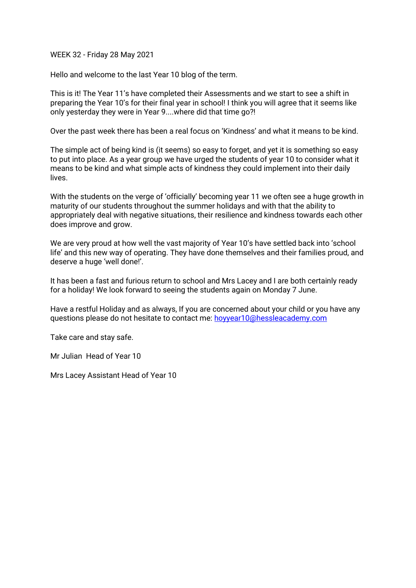WEEK 32 - Friday 28 May 2021

Hello and welcome to the last Year 10 blog of the term.

This is it! The Year 11's have completed their Assessments and we start to see a shift in preparing the Year 10's for their final year in school! I think you will agree that it seems like only yesterday they were in Year 9....where did that time go?!

Over the past week there has been a real focus on 'Kindness' and what it means to be kind.

The simple act of being kind is (it seems) so easy to forget, and yet it is something so easy to put into place. As a year group we have urged the students of year 10 to consider what it means to be kind and what simple acts of kindness they could implement into their daily lives.

With the students on the verge of 'officially' becoming year 11 we often see a huge growth in maturity of our students throughout the summer holidays and with that the ability to appropriately deal with negative situations, their resilience and kindness towards each other does improve and grow.

We are very proud at how well the vast majority of Year 10's have settled back into 'school life' and this new way of operating. They have done themselves and their families proud, and deserve a huge 'well done!'.

It has been a fast and furious return to school and Mrs Lacey and I are both certainly ready for a holiday! We look forward to seeing the students again on Monday 7 June.

Have a restful Holiday and as always, If you are concerned about your child or you have any questions please do not hesitate to contact me: [hoyyear10@hessleacademy.com](mailto:hoyyear10@hessleacademy.com)

Take care and stay safe.

Mr Julian Head of Year 10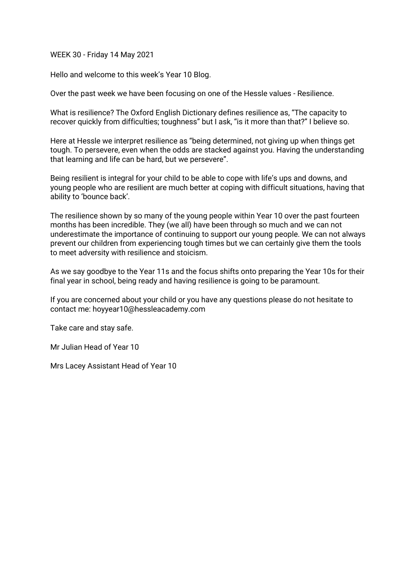WEEK 30 - Friday 14 May 2021

Hello and welcome to this week's Year 10 Blog.

Over the past week we have been focusing on one of the Hessle values - Resilience.

What is resilience? The Oxford English Dictionary defines resilience as, "The capacity to recover quickly from difficulties; toughness" but I ask, "is it more than that?" I believe so.

Here at Hessle we interpret resilience as "being determined, not giving up when things get tough. To persevere, even when the odds are stacked against you. Having the understanding that learning and life can be hard, but we persevere".

Being resilient is integral for your child to be able to cope with life's ups and downs, and young people who are resilient are much better at coping with difficult situations, having that ability to 'bounce back'.

The resilience shown by so many of the young people within Year 10 over the past fourteen months has been incredible. They (we all) have been through so much and we can not underestimate the importance of continuing to support our young people. We can not always prevent our children from experiencing tough times but we can certainly give them the tools to meet adversity with resilience and stoicism.

As we say goodbye to the Year 11s and the focus shifts onto preparing the Year 10s for their final year in school, being ready and having resilience is going to be paramount.

If you are concerned about your child or you have any questions please do not hesitate to contact me: hoyyear10@hessleacademy.com

Take care and stay safe.

Mr Julian Head of Year 10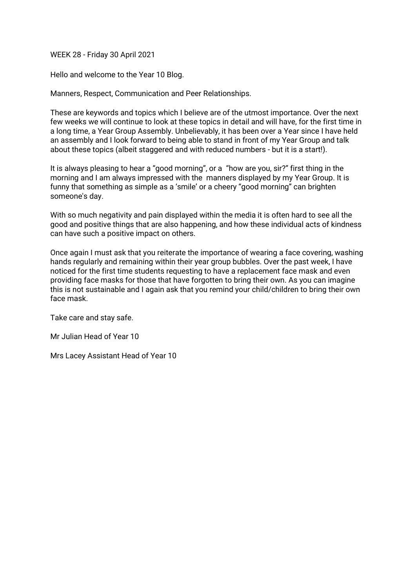WEEK 28 - Friday 30 April 2021

Hello and welcome to the Year 10 Blog.

Manners, Respect, Communication and Peer Relationships.

These are keywords and topics which I believe are of the utmost importance. Over the next few weeks we will continue to look at these topics in detail and will have, for the first time in a long time, a Year Group Assembly. Unbelievably, it has been over a Year since I have held an assembly and I look forward to being able to stand in front of my Year Group and talk about these topics (albeit staggered and with reduced numbers - but it is a start!).

It is always pleasing to hear a "good morning", or a "how are you, sir?" first thing in the morning and I am always impressed with the manners displayed by my Year Group. It is funny that something as simple as a 'smile' or a cheery "good morning" can brighten someone's day.

With so much negativity and pain displayed within the media it is often hard to see all the good and positive things that are also happening, and how these individual acts of kindness can have such a positive impact on others.

Once again I must ask that you reiterate the importance of wearing a face covering, washing hands regularly and remaining within their year group bubbles. Over the past week, I have noticed for the first time students requesting to have a replacement face mask and even providing face masks for those that have forgotten to bring their own. As you can imagine this is not sustainable and I again ask that you remind your child/children to bring their own face mask.

Take care and stay safe.

Mr Julian Head of Year 10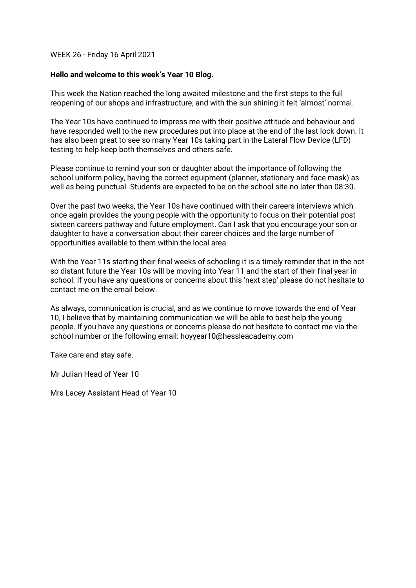## WEEK 26 - Friday 16 April 2021

## **Hello and welcome to this week's Year 10 Blog.**

This week the Nation reached the long awaited milestone and the first steps to the full reopening of our shops and infrastructure, and with the sun shining it felt 'almost' normal.

The Year 10s have continued to impress me with their positive attitude and behaviour and have responded well to the new procedures put into place at the end of the last lock down. It has also been great to see so many Year 10s taking part in the Lateral Flow Device (LFD) testing to help keep both themselves and others safe.

Please continue to remind your son or daughter about the importance of following the school uniform policy, having the correct equipment (planner, stationary and face mask) as well as being punctual. Students are expected to be on the school site no later than 08:30.

Over the past two weeks, the Year 10s have continued with their careers interviews which once again provides the young people with the opportunity to focus on their potential post sixteen careers pathway and future employment. Can I ask that you encourage your son or daughter to have a conversation about their career choices and the large number of opportunities available to them within the local area.

With the Year 11s starting their final weeks of schooling it is a timely reminder that in the not so distant future the Year 10s will be moving into Year 11 and the start of their final year in school. If you have any questions or concerns about this 'next step' please do not hesitate to contact me on the email below.

As always, communication is crucial, and as we continue to move towards the end of Year 10, I believe that by maintaining communication we will be able to best help the young people. If you have any questions or concerns please do not hesitate to contact me via the school number or the following email: hoyyear10@hessleacademy.com

Take care and stay safe.

Mr Julian Head of Year 10